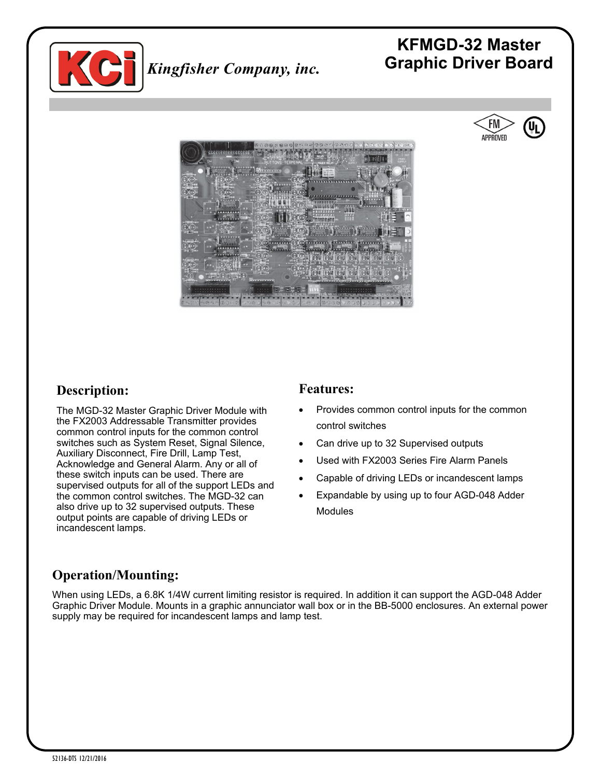

## **KFMGD-32 Master Graphic Driver Board** *Kingfisher Company, inc.*





#### **Description:**

The MGD-32 Master Graphic Driver Module with the FX2003 Addressable Transmitter provides common control inputs for the common control switches such as System Reset, Signal Silence, Auxiliary Disconnect, Fire Drill, Lamp Test, Acknowledge and General Alarm. Any or all of these switch inputs can be used. There are supervised outputs for all of the support LEDs and the common control switches. The MGD-32 can also drive up to 32 supervised outputs. These output points are capable of driving LEDs or incandescent lamps.

#### **Features:**

- Provides common control inputs for the common control switches
- Can drive up to 32 Supervised outputs
- Used with FX2003 Series Fire Alarm Panels
- Capable of driving LEDs or incandescent lamps
- Expandable by using up to four AGD-048 Adder **Modules**

### **Operation/Mounting:**

When using LEDs, a 6.8K 1/4W current limiting resistor is required. In addition it can support the AGD-048 Adder Graphic Driver Module. Mounts in a graphic annunciator wall box or in the BB-5000 enclosures. An external power supply may be required for incandescent lamps and lamp test.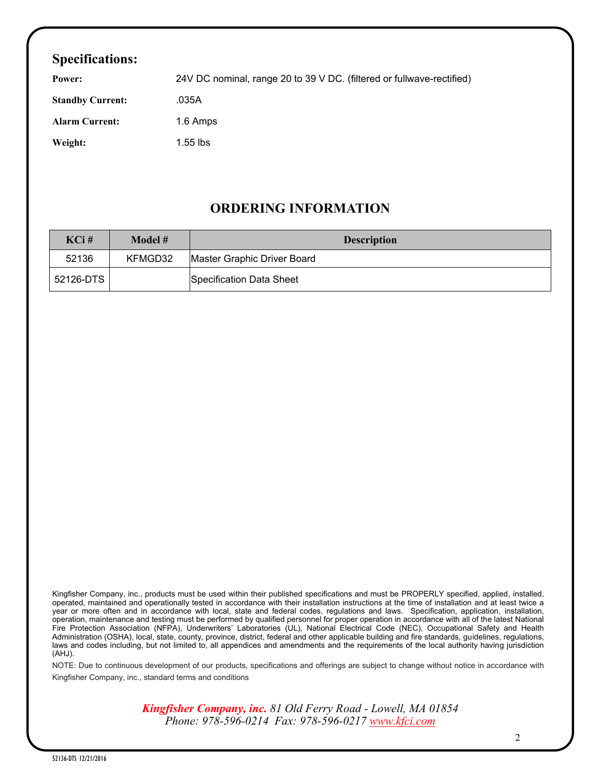### **Specifications:**

| Power:                  | 24V DC nominal, range 20 to 39 V DC. (filtered or fullwave-rectified) |
|-------------------------|-----------------------------------------------------------------------|
| <b>Standby Current:</b> | .035A                                                                 |
| <b>Alarm Current:</b>   | 1.6 Amps                                                              |
| Weight:                 | $1.55$ lbs                                                            |

#### **ORDERING INFORMATION**

| KCi#      | Model # | <b>Description</b>          |
|-----------|---------|-----------------------------|
| 52136     | KFMGD32 | Master Graphic Driver Board |
| 52126-DTS |         | Specification Data Sheet    |

Kingfisher Company, inc., products must be used within their published specifications and must be PROPERLY specified, applied, installed, operated, maintained and operationally tested in accordance with their installation instructions at the time of installation and at least twice a year or more often and in accordance with local, state and federal codes, regulations and laws. Specification, application, installation, operation, maintenance and testing must be performed by qualified personnel for proper operation in accordance with all of the latest National Fire Protection Association (NFPA), Underwriters' Laboratories (UL), National Electrical Code (NEC), Occupational Safety and Health Administration (OSHA), local, state, county, province, district, federal and other applicable building and fire standards, guidelines, regulations, laws and codes including, but not limited to, all appendices and amendments and the requirements of the local authority having jurisdiction (AHJ).

NOTE: Due to continuous development of our products, specifications and offerings are subject to change without notice in accordance with Kingfisher Company, inc., standard terms and conditions

> *Kingfisher Company, inc. 81 Old Ferry Road - Lowell, MA 01854 Phone: 978-596-0214 Fax: 978-596-0217 [www.kfci.com](http://www.kfci.com/)*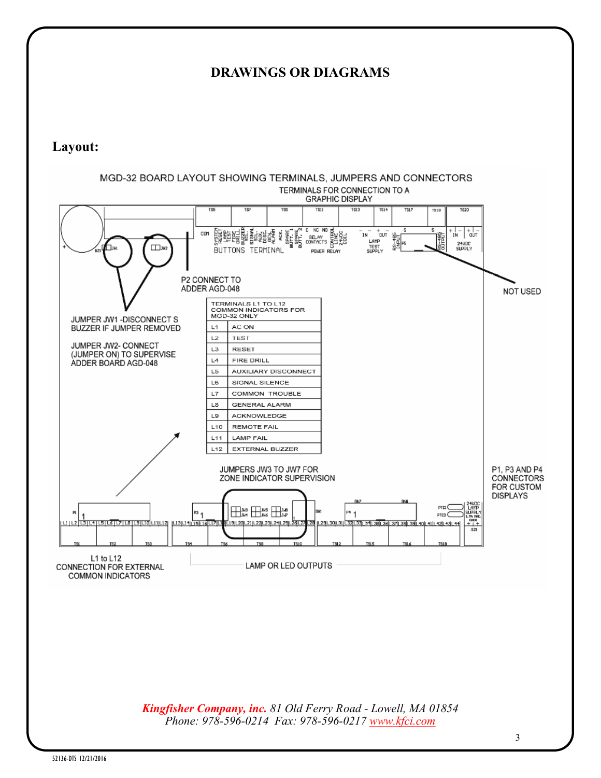